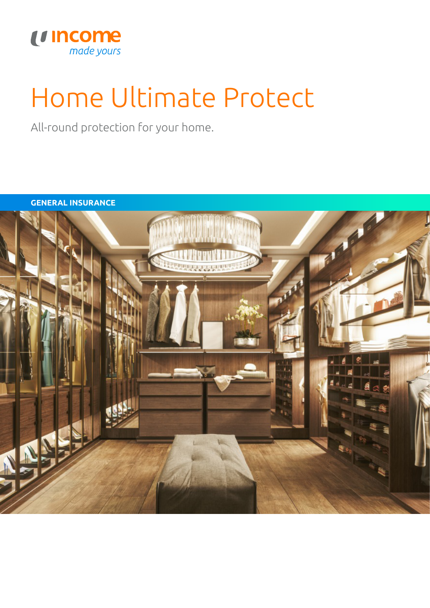

# Home Ultimate Protect

All-round protection for your home.

**GENERAL INSURANCE**

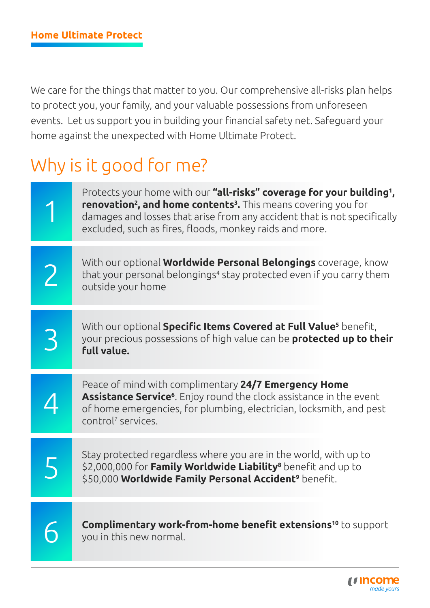We care for the things that matter to you. Our comprehensive all-risks plan helps to protect you, your family, and your valuable possessions from unforeseen events. Let us support you in building your financial safety net. Safeguard your home against the unexpected with Home Ultimate Protect.

# Why is it good for me?

| Protects your home with our "all-risks" coverage for your building <sup>1</sup> ,<br><b>renovation<sup>2</sup>, and home contents<sup>3</sup>.</b> This means covering you for<br>damages and losses that arise from any accident that is not specifically<br>excluded, such as fires, floods, monkey raids and more. |
|-----------------------------------------------------------------------------------------------------------------------------------------------------------------------------------------------------------------------------------------------------------------------------------------------------------------------|
| With our optional <b>Worldwide Personal Belongings</b> coverage, know<br>that your personal belongings <sup>4</sup> stay protected even if you carry them<br>outside your home                                                                                                                                        |
| With our optional Specific Items Covered at Full Value <sup>5</sup> benefit,<br>your precious possessions of high value can be <b>protected up to their</b><br>full value.                                                                                                                                            |
| Peace of mind with complimentary 24/7 Emergency Home<br>Assistance Service <sup>6</sup> . Enjoy round the clock assistance in the event<br>of home emergencies, for plumbing, electrician, locksmith, and pest<br>control <sup>7</sup> services.                                                                      |
| Stay protected regardless where you are in the world, with up to<br>\$2,000,000 for Family Worldwide Liability <sup>8</sup> benefit and up to<br>\$50,000 Worldwide Family Personal Accident <sup>9</sup> benefit.                                                                                                    |
| <b>Complimentary work-from-home benefit extensions<sup>10</sup> to support</b><br>you in this new normal.                                                                                                                                                                                                             |

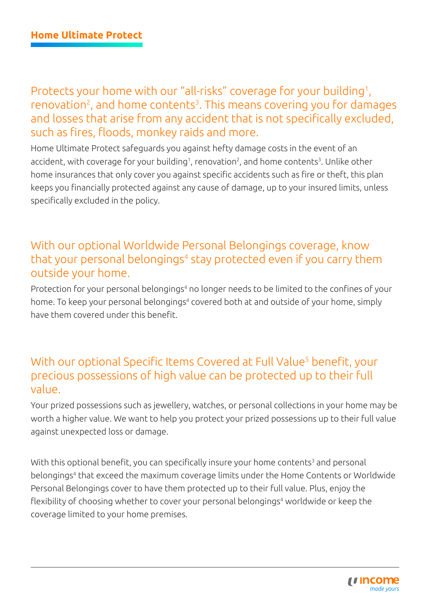Protects your home with our "all-risks" coverage for your building<sup>1</sup>, renovation<sup>2</sup>, and home contents<sup>3</sup>. This means covering you for damages and losses that arise from any accident that is not specifically excluded, such as fires, floods, monkey raids and more.

Home Ultimate Protect safeguards you against hefty damage costs in the event of an accident, with coverage for your building<sup>1</sup>, renovation<sup>2</sup>, and home contents<sup>3</sup>. Unlike other home insurances that only cover you against specific accidents such as fire or theft, this plan keeps you financially protected against any cause of damage, up to your insured limits, unless specifically excluded in the policy.

# With our optional Worldwide Personal Belongings coverage, know that your personal belongings<sup>4</sup> stay protected even if you carry them outside your home.

Protection for your personal belongings<sup>4</sup> no longer needs to be limited to the confines of your home. To keep your personal belongings<sup>4</sup> covered both at and outside of your home, simply have them covered under this benefit.

### With our optional Specific Items Covered at Full Value<sup>5</sup> benefit, your precious possessions of high value can be protected up to their full value.

Your prized possessions such as jewellery, watches, or personal collections in your home may be worth a higher value. We want to help you protect your prized possessions up to their full value against unexpected loss or damage.

With this optional benefit, you can specifically insure your home contents<sup>3</sup> and personal belongings4 that exceed the maximum coverage limits under the Home Contents or Worldwide Personal Belongings cover to have them protected up to their full value. Plus, enjoy the flexibility of choosing whether to cover your personal belongings<sup>4</sup> worldwide or keep the coverage limited to your home premises.

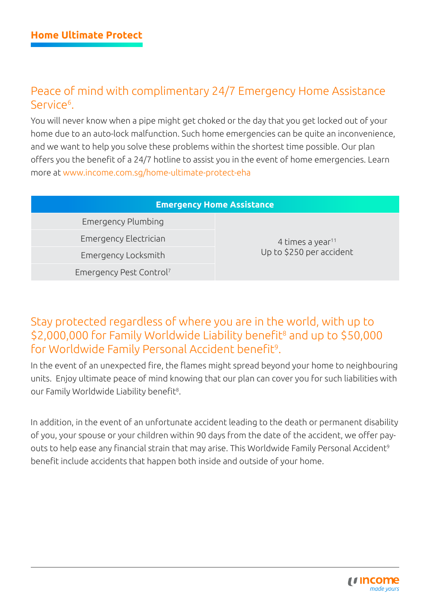# Peace of mind with complimentary 24/7 Emergency Home Assistance Service<sup>6</sup>.

You will never know when a pipe might get choked or the day that you get locked out of your home due to an auto-lock malfunction. Such home emergencies can be quite an inconvenience, and we want to help you solve these problems within the shortest time possible. Our plan offers you the benefit of a 24/7 hotline to assist you in the event of home emergencies. Learn more at [www.income.com.sg/home-ultimate-protect-eha](http://www.income.com.sg/home-ultimate-protect-eha)

| <b>Emergency Home Assistance</b>    |                              |  |  |  |  |  |
|-------------------------------------|------------------------------|--|--|--|--|--|
| Emergency Plumbing                  |                              |  |  |  |  |  |
| Emergency Electrician               | 4 times a year <sup>11</sup> |  |  |  |  |  |
| Emergency Locksmith                 | Up to \$250 per accident     |  |  |  |  |  |
| Emergency Pest Control <sup>7</sup> |                              |  |  |  |  |  |
|                                     |                              |  |  |  |  |  |

# Stay protected regardless of where you are in the world, with up to \$2,000,000 for Family Worldwide Liability benefit<sup>8</sup> and up to \$50,000 for Worldwide Family Personal Accident benefit<sup>9</sup>.

In the event of an unexpected fire, the flames might spread beyond your home to neighbouring units. Enjoy ultimate peace of mind knowing that our plan can cover you for such liabilities with our Family Worldwide Liability benefit<sup>8</sup>.

In addition, in the event of an unfortunate accident leading to the death or permanent disability of you, your spouse or your children within 90 days from the date of the accident, we offer payouts to help ease any financial strain that may arise. This Worldwide Family Personal Accident<sup>9</sup> benefit include accidents that happen both inside and outside of your home.

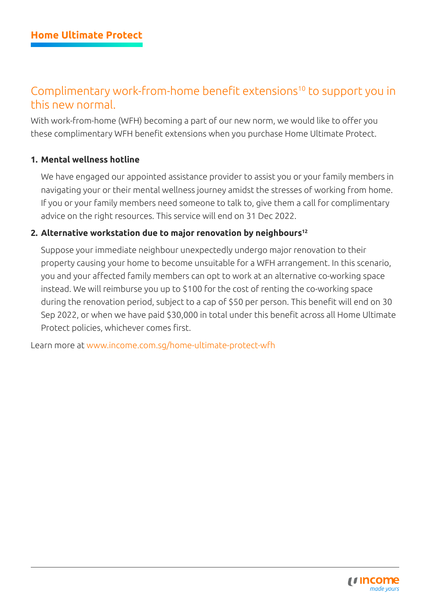# Complimentary work-from-home benefit extensions<sup>10</sup> to support you in this new normal.

With work-from-home (WFH) becoming a part of our new norm, we would like to offer you these complimentary WFH benefit extensions when you purchase Home Ultimate Protect.

#### **1. Mental wellness hotline**

We have engaged our appointed assistance provider to assist you or your family members in navigating your or their mental wellness journey amidst the stresses of working from home. If you or your family members need someone to talk to, give them a call for complimentary advice on the right resources. This service will end on 31 Dec 2022.

#### 2. Alternative workstation due to major renovation by neighbours<sup>12</sup>

Suppose your immediate neighbour unexpectedly undergo major renovation to their property causing your home to become unsuitable for a WFH arrangement. In this scenario, you and your affected family members can opt to work at an alternative co-working space instead. We will reimburse you up to \$100 for the cost of renting the co-working space during the renovation period, subject to a cap of \$50 per person. This benefit will end on 30 Sep 2022, or when we have paid \$30,000 in total under this benefit across all Home Ultimate Protect policies, whichever comes first.

Learn more at [www.income.com.sg/home-ultimate-protect-wfh](http://www.income.com.sg/home-ultimate-protect-wfh)

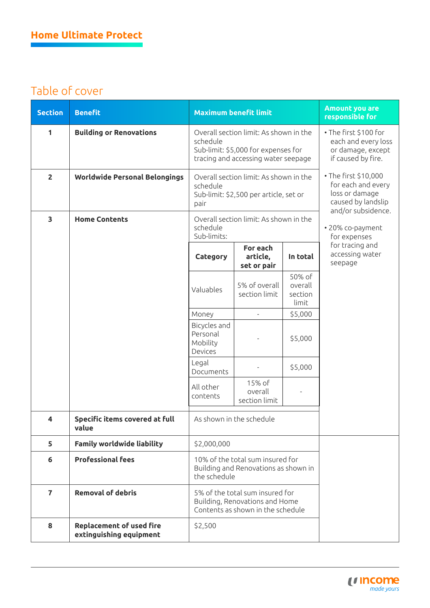# Table of cover

| <b>Section</b> | <b>Benefit</b>                                             | <b>Maximum benefit limit</b>                                                                                                     |                                     |                                       | <b>Amount you are</b><br>responsible for                                                                                                     |
|----------------|------------------------------------------------------------|----------------------------------------------------------------------------------------------------------------------------------|-------------------------------------|---------------------------------------|----------------------------------------------------------------------------------------------------------------------------------------------|
| 1              | <b>Building or Renovations</b>                             | Overall section limit: As shown in the<br>schedule<br>Sub-limit: \$5,000 for expenses for<br>tracing and accessing water seepage |                                     |                                       | • The first \$100 for<br>each and every loss<br>or damage, except<br>if caused by fire.                                                      |
| $\overline{2}$ | <b>Worldwide Personal Belongings</b>                       | Overall section limit: As shown in the<br>schedule<br>Sub-limit: \$2,500 per article, set or<br>pair                             |                                     |                                       | • The first \$10,000<br>for each and every<br>loss or damage<br>caused by landslip<br>and/or subsidence.<br>· 20% co-payment<br>for expenses |
| 3              | <b>Home Contents</b>                                       | Overall section limit: As shown in the<br>schedule<br>Sub-limits:                                                                |                                     |                                       |                                                                                                                                              |
|                |                                                            | Category                                                                                                                         | For each<br>article,<br>set or pair | In total                              | for tracing and<br>accessing water<br>seepage                                                                                                |
|                |                                                            | Valuables                                                                                                                        | 5% of overall<br>section limit      | 50% of<br>overall<br>section<br>limit |                                                                                                                                              |
|                |                                                            | Money                                                                                                                            | $\overline{\phantom{a}}$            | \$5,000                               |                                                                                                                                              |
|                |                                                            | Bicycles and<br>Personal<br>Mobility<br>Devices                                                                                  |                                     | \$5,000                               |                                                                                                                                              |
|                |                                                            | Legal<br>Documents                                                                                                               |                                     | \$5,000                               |                                                                                                                                              |
|                |                                                            | All other<br>contents                                                                                                            | 15% of<br>overall<br>section limit  |                                       |                                                                                                                                              |
| 4              | <b>Specific items covered at full</b><br>value             | As shown in the schedule                                                                                                         |                                     |                                       |                                                                                                                                              |
| 5              | <b>Family worldwide liability</b>                          | \$2,000,000                                                                                                                      |                                     |                                       |                                                                                                                                              |
| 6              | <b>Professional fees</b>                                   | 10% of the total sum insured for<br>Building and Renovations as shown in<br>the schedule                                         |                                     |                                       |                                                                                                                                              |
| $\overline{7}$ | <b>Removal of debris</b>                                   | 5% of the total sum insured for<br>Building, Renovations and Home<br>Contents as shown in the schedule                           |                                     |                                       |                                                                                                                                              |
| 8              | <b>Replacement of used fire</b><br>extinguishing equipment | \$2,500                                                                                                                          |                                     |                                       |                                                                                                                                              |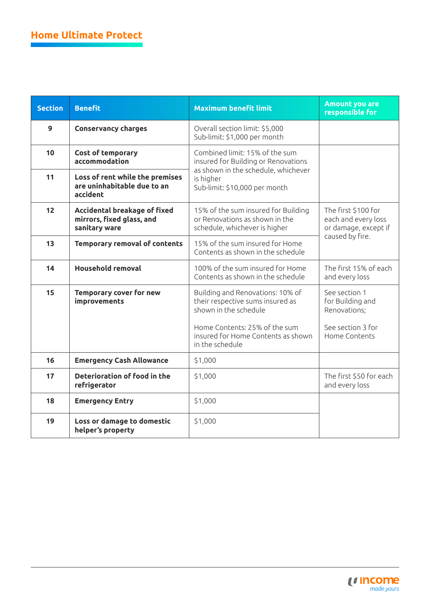| <b>Section</b> | <b>Benefit</b>                                                                                                                                  | <b>Maximum benefit limit</b>                                                                           | <b>Amount you are</b><br>responsible for                                              |
|----------------|-------------------------------------------------------------------------------------------------------------------------------------------------|--------------------------------------------------------------------------------------------------------|---------------------------------------------------------------------------------------|
| $\mathbf{9}$   | <b>Conservancy charges</b>                                                                                                                      | Overall section limit: \$5,000<br>Sub-limit: \$1,000 per month                                         |                                                                                       |
| 10             | <b>Cost of temporary</b><br>accommodation                                                                                                       | Combined limit: 15% of the sum<br>insured for Building or Renovations                                  |                                                                                       |
| 11             | Loss of rent while the premises<br>are uninhabitable due to an<br>accident                                                                      | as shown in the schedule, whichever<br>is higher<br>Sub-limit: \$10,000 per month                      |                                                                                       |
| 12             | Accidental breakage of fixed<br>mirrors, fixed glass, and<br>sanitary ware                                                                      | 15% of the sum insured for Building<br>or Renovations as shown in the<br>schedule, whichever is higher | The first \$100 for<br>each and every loss<br>or damage, except if<br>caused by fire. |
| 13             | <b>Temporary removal of contents</b>                                                                                                            | 15% of the sum insured for Home<br>Contents as shown in the schedule                                   |                                                                                       |
| 14             | <b>Household removal</b>                                                                                                                        | 100% of the sum insured for Home<br>Contents as shown in the schedule                                  | The first 15% of each<br>and every loss                                               |
| 15             | <b>Temporary cover for new</b><br>Building and Renovations: 10% of<br>their respective sums insured as<br>improvements<br>shown in the schedule |                                                                                                        | See section 1<br>for Building and<br>Renovations;                                     |
|                |                                                                                                                                                 | Home Contents: 25% of the sum<br>insured for Home Contents as shown<br>in the schedule                 | See section 3 for<br>Home Contents                                                    |
| 16             | <b>Emergency Cash Allowance</b>                                                                                                                 | \$1,000                                                                                                |                                                                                       |
| 17             | Deterioration of food in the<br>refrigerator                                                                                                    | \$1,000                                                                                                | The first \$50 for each<br>and every loss                                             |
| 18             | <b>Emergency Entry</b>                                                                                                                          | \$1,000                                                                                                |                                                                                       |
| 19             | Loss or damage to domestic<br>helper's property                                                                                                 | \$1,000                                                                                                |                                                                                       |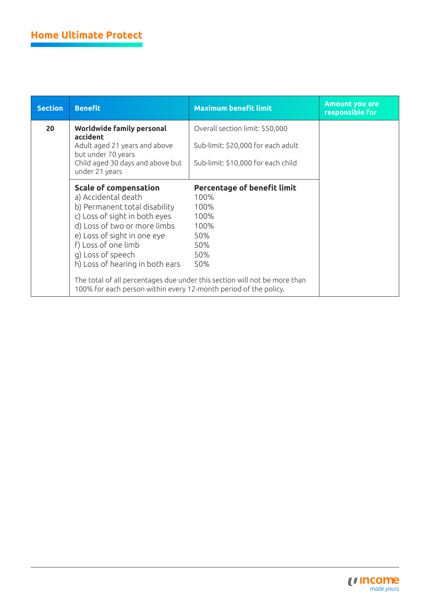| <b>Section</b> | <b>Benefit</b>                                                                                                                                | <b>Maximum benefit limit</b>                       | <b>Amount you are</b><br>responsible for |
|----------------|-----------------------------------------------------------------------------------------------------------------------------------------------|----------------------------------------------------|------------------------------------------|
| 20             | <b>Worldwide family personal</b><br>accident                                                                                                  | Overall section limit: \$50,000                    |                                          |
|                | Adult aged 21 years and above<br>but under 70 years                                                                                           | Sub-limit: \$20,000 for each adult                 |                                          |
|                | Child aged 30 days and above but<br>under 21 years                                                                                            | Sub-limit: \$10,000 for each child                 |                                          |
|                | <b>Scale of compensation</b><br>a) Accidental death<br>b) Permanent total disability                                                          | <b>Percentage of benefit limit</b><br>100%<br>100% |                                          |
|                | c) Loss of sight in both eyes                                                                                                                 | 100%                                               |                                          |
|                | d) Loss of two or more limbs<br>e) Loss of sight in one eye                                                                                   | 100%<br>50%                                        |                                          |
|                | f) Loss of one limb<br>g) Loss of speech                                                                                                      | 50%<br>50%                                         |                                          |
|                | h) Loss of hearing in both ears                                                                                                               | 50%                                                |                                          |
|                | The total of all percentages due under this section will not be more than<br>100% for each person within every 12-month period of the policy. |                                                    |                                          |

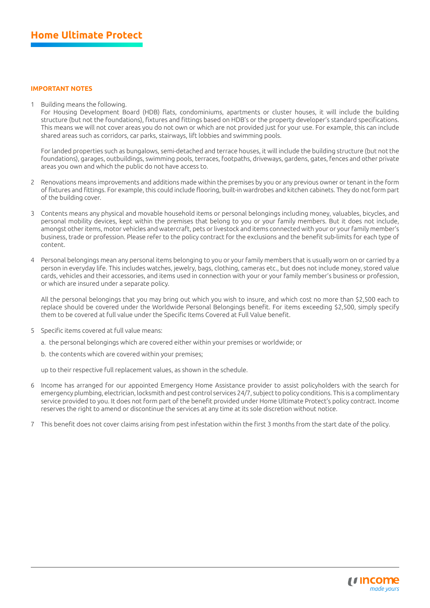#### **IMPORTANT NOTES**

1 Building means the following.

For Housing Development Board (HDB) flats, condominiums, apartments or cluster houses, it will include the building structure (but not the foundations), fixtures and fittings based on HDB's or the property developer's standard specifications. This means we will not cover areas you do not own or which are not provided just for your use. For example, this can include shared areas such as corridors, car parks, stairways, lift lobbies and swimming pools.

For landed properties such as bungalows, semi-detached and terrace houses, it will include the building structure (but not the foundations), garages, outbuildings, swimming pools, terraces, footpaths, driveways, gardens, gates, fences and other private areas you own and which the public do not have access to.

- 2 Renovations means improvements and additions made within the premises by you or any previous owner or tenant in the form of fixtures and fittings. For example, this could include flooring, built-in wardrobes and kitchen cabinets. They do not form part of the building cover.
- 3 Contents means any physical and movable household items or personal belongings including money, valuables, bicycles, and personal mobility devices, kept within the premises that belong to you or your family members. But it does not include, amongst other items, motor vehicles and watercraft, pets or livestock and items connected with your or your family member's business, trade or profession. Please refer to the policy contract for the exclusions and the benefit sub-limits for each type of content.
- 4 Personal belongings mean any personal items belonging to you or your family members that is usually worn on or carried by a person in everyday life. This includes watches, jewelry, bags, clothing, cameras etc., but does not include money, stored value cards, vehicles and their accessories, and items used in connection with your or your family member's business or profession, or which are insured under a separate policy.

All the personal belongings that you may bring out which you wish to insure, and which cost no more than \$2,500 each to replace should be covered under the Worldwide Personal Belongings benefit. For items exceeding \$2,500, simply specify them to be covered at full value under the Specific Items Covered at Full Value benefit.

- 5 Specific items covered at full value means:
	- a. the personal belongings which are covered either within your premises or worldwide; or
	- b. the contents which are covered within your premises;

up to their respective full replacement values, as shown in the schedule.

- 6 Income has arranged for our appointed Emergency Home Assistance provider to assist policyholders with the search for emergency plumbing, electrician, locksmith and pest control services 24/7, subject to policy conditions. This is a complimentary service provided to you. It does not form part of the benefit provided under Home Ultimate Protect's policy contract. Income reserves the right to amend or discontinue the services at any time at its sole discretion without notice.
- 7 This benefit does not cover claims arising from pest infestation within the first 3 months from the start date of the policy.

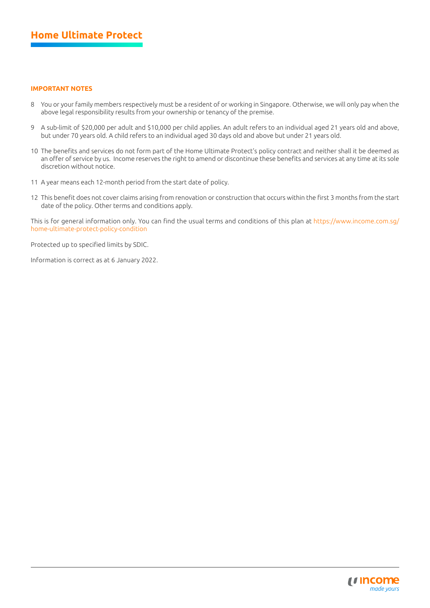#### **IMPORTANT NOTES**

- 8 You or your family members respectively must be a resident of or working in Singapore. Otherwise, we will only pay when the above legal responsibility results from your ownership or tenancy of the premise.
- 9 A sub-limit of \$20,000 per adult and \$10,000 per child applies. An adult refers to an individual aged 21 years old and above, but under 70 years old. A child refers to an individual aged 30 days old and above but under 21 years old.
- 10 The benefits and services do not form part of the Home Ultimate Protect's policy contract and neither shall it be deemed as an offer of service by us. Income reserves the right to amend or discontinue these benefits and services at any time at its sole discretion without notice.
- 11 A year means each 12-month period from the start date of policy.
- 12 This benefit does not cover claims arising from renovation or construction that occurs within the first 3 months from the start date of the policy. Other terms and conditions apply.

This is for general information only. You can find the usual terms and conditions of this plan at [https://www.income.com.sg/](https://www.income.com.sg/home-ultimate-protect-policy-condition) [home-ultimate-protect-policy-condition](https://www.income.com.sg/home-ultimate-protect-policy-condition)

Protected up to specified limits by SDIC.

Information is correct as at 6 January 2022.